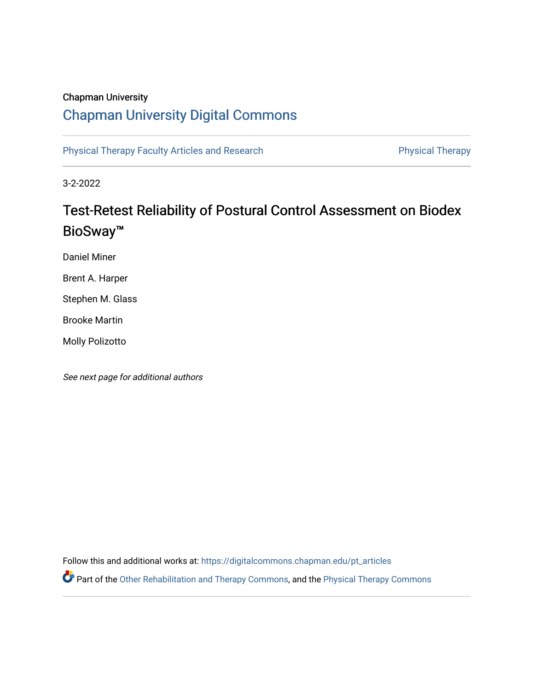## Chapman University

# [Chapman University Digital Commons](https://digitalcommons.chapman.edu/)

[Physical Therapy Faculty Articles and Research](https://digitalcommons.chapman.edu/pt_articles) **Physical Therapy** Physical Therapy

3-2-2022

# Test-Retest Reliability of Postural Control Assessment on Biodex BioSway™

Daniel Miner

Brent A. Harper

Stephen M. Glass

Brooke Martin

Molly Polizotto

See next page for additional authors

Follow this and additional works at: [https://digitalcommons.chapman.edu/pt\\_articles](https://digitalcommons.chapman.edu/pt_articles?utm_source=digitalcommons.chapman.edu%2Fpt_articles%2F169&utm_medium=PDF&utm_campaign=PDFCoverPages) 

Part of the [Other Rehabilitation and Therapy Commons,](http://network.bepress.com/hgg/discipline/758?utm_source=digitalcommons.chapman.edu%2Fpt_articles%2F169&utm_medium=PDF&utm_campaign=PDFCoverPages) and the [Physical Therapy Commons](http://network.bepress.com/hgg/discipline/754?utm_source=digitalcommons.chapman.edu%2Fpt_articles%2F169&utm_medium=PDF&utm_campaign=PDFCoverPages)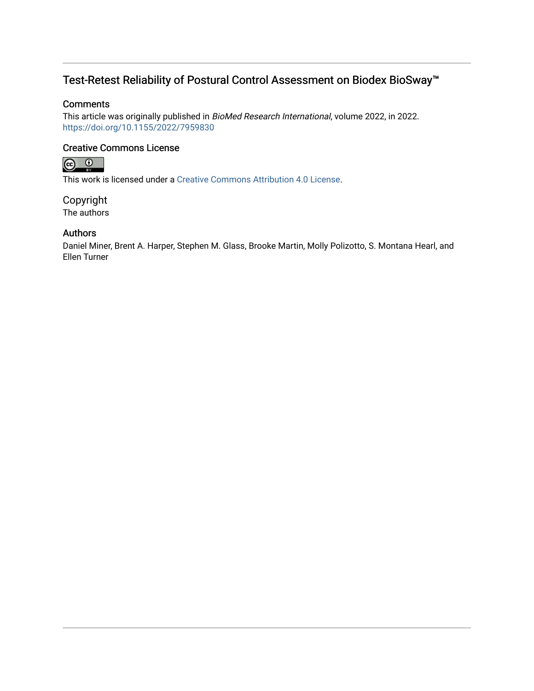## Test-Retest Reliability of Postural Control Assessment on Biodex BioSway™

## **Comments**

This article was originally published in BioMed Research International, volume 2022, in 2022. <https://doi.org/10.1155/2022/7959830>

## Creative Commons License



This work is licensed under a [Creative Commons Attribution 4.0 License](https://creativecommons.org/licenses/by/4.0/).

Copyright The authors

## Authors

Daniel Miner, Brent A. Harper, Stephen M. Glass, Brooke Martin, Molly Polizotto, S. Montana Hearl, and Ellen Turner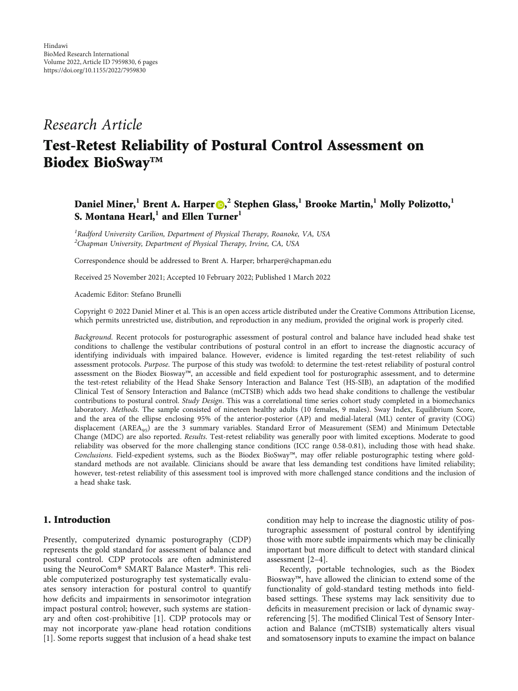## Research Article

# Test-Retest Reliability of Postural Control Assessment on Biodex BioSway™

## Daniel Miner,**1** Brent A. Harper , **2** Stephen Glass,**1** Brooke Martin,**1** Molly Polizotto,**1** S. Montana Hearl,**1** and Ellen Turner**1**

<sup>1</sup>Radford University Carilion, Department of Physical Therapy, Roanoke, VA, USA  $^{2}$ Chapman University, Department of Physical Therapy, Irvine, CA, USA

Correspondence should be addressed to Brent A. Harper; brharper@chapman.edu

Received 25 November 2021; Accepted 10 February 2022; Published 1 March 2022

Academic Editor: Stefano Brunelli

Copyright © 2022 Daniel Miner et al. This is an open access article distributed under the [Creative Commons Attribution License](https://creativecommons.org/licenses/by/4.0/), which permits unrestricted use, distribution, and reproduction in any medium, provided the original work is properly cited.

Background. Recent protocols for posturographic assessment of postural control and balance have included head shake test conditions to challenge the vestibular contributions of postural control in an effort to increase the diagnostic accuracy of identifying individuals with impaired balance. However, evidence is limited regarding the test-retest reliability of such assessment protocols. Purpose. The purpose of this study was twofold: to determine the test-retest reliability of postural control assessment on the Biodex Biosway™, an accessible and field expedient tool for posturographic assessment, and to determine the test-retest reliability of the Head Shake Sensory Interaction and Balance Test (HS-SIB), an adaptation of the modified Clinical Test of Sensory Interaction and Balance (mCTSIB) which adds two head shake conditions to challenge the vestibular contributions to postural control. Study Design. This was a correlational time series cohort study completed in a biomechanics laboratory. Methods. The sample consisted of nineteen healthy adults (10 females, 9 males). Sway Index, Equilibrium Score, and the area of the ellipse enclosing 95% of the anterior-posterior (AP) and medial-lateral (ML) center of gravity (COG) displacement ( $AREA_{95}$ ) are the 3 summary variables. Standard Error of Measurement (SEM) and Minimum Detectable Change (MDC) are also reported. Results. Test-retest reliability was generally poor with limited exceptions. Moderate to good reliability was observed for the more challenging stance conditions (ICC range 0.58-0.81), including those with head shake. Conclusions. Field-expedient systems, such as the Biodex BioSway™, may offer reliable posturographic testing where goldstandard methods are not available. Clinicians should be aware that less demanding test conditions have limited reliability; however, test-retest reliability of this assessment tool is improved with more challenged stance conditions and the inclusion of a head shake task.

## 1. Introduction

Presently, computerized dynamic posturography (CDP) represents the gold standard for assessment of balance and postural control. CDP protocols are often administered using the NeuroCom® SMART Balance Master®. This reliable computerized posturography test systematically evaluates sensory interaction for postural control to quantify how deficits and impairments in sensorimotor integration impact postural control; however, such systems are stationary and often cost-prohibitive [\[1](#page-6-0)]. CDP protocols may or may not incorporate yaw-plane head rotation conditions [\[1](#page-6-0)]. Some reports suggest that inclusion of a head shake test condition may help to increase the diagnostic utility of posturographic assessment of postural control by identifying those with more subtle impairments which may be clinically important but more difficult to detect with standard clinical assessment [\[2](#page-6-0)–[4](#page-6-0)].

Recently, portable technologies, such as the Biodex Biosway™, have allowed the clinician to extend some of the functionality of gold-standard testing methods into fieldbased settings. These systems may lack sensitivity due to deficits in measurement precision or lack of dynamic swayreferencing [[5\]](#page-6-0). The modified Clinical Test of Sensory Interaction and Balance (mCTSIB) systematically alters visual and somatosensory inputs to examine the impact on balance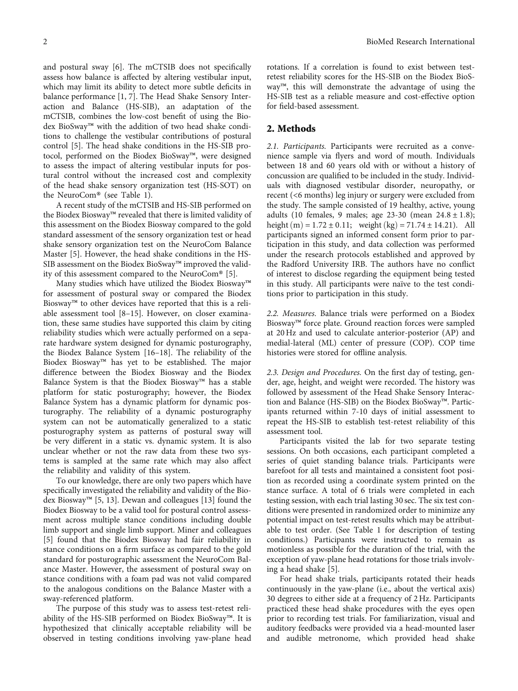and postural sway [[6](#page-6-0)]. The mCTSIB does not specifically assess how balance is affected by altering vestibular input, which may limit its ability to detect more subtle deficits in balance performance [\[1](#page-6-0), [7\]](#page-6-0). The Head Shake Sensory Interaction and Balance (HS-SIB), an adaptation of the mCTSIB, combines the low-cost benefit of using the Biodex BioSway™ with the addition of two head shake conditions to challenge the vestibular contributions of postural control [[5](#page-6-0)]. The head shake conditions in the HS-SIB protocol, performed on the Biodex BioSway™, were designed to assess the impact of altering vestibular inputs for postural control without the increased cost and complexity of the head shake sensory organization test (HS-SOT) on the NeuroCom® (see Table [1](#page-4-0)).

A recent study of the mCTSIB and HS-SIB performed on the Biodex Biosway™ revealed that there is limited validity of this assessment on the Biodex Biosway compared to the gold standard assessment of the sensory organization test or head shake sensory organization test on the NeuroCom Balance Master [\[5](#page-6-0)]. However, the head shake conditions in the HS-SIB assessment on the Biodex BioSway™ improved the validity of this assessment compared to the NeuroCom® [[5\]](#page-6-0).

Many studies which have utilized the Biodex Biosway™ for assessment of postural sway or compared the Biodex Biosway™ to other devices have reported that this is a reliable assessment tool [[8](#page-6-0)–[15](#page-7-0)]. However, on closer examination, these same studies have supported this claim by citing reliability studies which were actually performed on a separate hardware system designed for dynamic posturography, the Biodex Balance System [\[16](#page-7-0)–[18](#page-7-0)]. The reliability of the Biodex Biosway™ has yet to be established. The major difference between the Biodex Biosway and the Biodex Balance System is that the Biodex Biosway™ has a stable platform for static posturography; however, the Biodex Balance System has a dynamic platform for dynamic posturography. The reliability of a dynamic posturography system can not be automatically generalized to a static posturography system as patterns of postural sway will be very different in a static vs. dynamic system. It is also unclear whether or not the raw data from these two systems is sampled at the same rate which may also affect the reliability and validity of this system.

To our knowledge, there are only two papers which have specifically investigated the reliability and validity of the Biodex Biosway™ [\[5, 13](#page-6-0)]. Dewan and colleagues [\[13\]](#page-6-0) found the Biodex Biosway to be a valid tool for postural control assessment across multiple stance conditions including double limb support and single limb support. Miner and colleagues [\[5](#page-6-0)] found that the Biodex Biosway had fair reliability in stance conditions on a firm surface as compared to the gold standard for posturographic assessment the NeuroCom Balance Master. However, the assessment of postural sway on stance conditions with a foam pad was not valid compared to the analogous conditions on the Balance Master with a sway-referenced platform.

The purpose of this study was to assess test-retest reliability of the HS-SIB performed on Biodex BioSway™. It is hypothesized that clinically acceptable reliability will be observed in testing conditions involving yaw-plane head rotations. If a correlation is found to exist between testretest reliability scores for the HS-SIB on the Biodex BioSway™, this will demonstrate the advantage of using the HS-SIB test as a reliable measure and cost-effective option for field-based assessment.

#### 2. Methods

2.1. Participants. Participants were recruited as a convenience sample via flyers and word of mouth. Individuals between 18 and 60 years old with or without a history of concussion are qualified to be included in the study. Individuals with diagnosed vestibular disorder, neuropathy, or recent (<6 months) leg injury or surgery were excluded from the study. The sample consisted of 19 healthy, active, young adults (10 females, 9 males; age 23-30 (mean 24*:*8±1*:*8); height $(m) = 1.72 \pm 0.11$ ; weight  $(kg) = 71.74 \pm 14.21$ . All participants signed an informed consent form prior to participation in this study, and data collection was performed under the research protocols established and approved by the Radford University IRB. The authors have no conflict of interest to disclose regarding the equipment being tested in this study. All participants were naïve to the test conditions prior to participation in this study.

2.2. Measures. Balance trials were performed on a Biodex Biosway™ force plate. Ground reaction forces were sampled at 20 Hz and used to calculate anterior-posterior (AP) and medial-lateral (ML) center of pressure (COP). COP time histories were stored for offline analysis.

2.3. Design and Procedures. On the first day of testing, gender, age, height, and weight were recorded. The history was followed by assessment of the Head Shake Sensory Interaction and Balance (HS-SIB) on the Biodex BioSway™. Participants returned within 7-10 days of initial assessment to repeat the HS-SIB to establish test-retest reliability of this assessment tool.

Participants visited the lab for two separate testing sessions. On both occasions, each participant completed a series of quiet standing balance trials. Participants were barefoot for all tests and maintained a consistent foot position as recorded using a coordinate system printed on the stance surface. A total of 6 trials were completed in each testing session, with each trial lasting 30 sec. The six test conditions were presented in randomized order to minimize any potential impact on test-retest results which may be attributable to test order. (See Table [1](#page-4-0) for description of testing conditions.) Participants were instructed to remain as motionless as possible for the duration of the trial, with the exception of yaw-plane head rotations for those trials involving a head shake [[5\]](#page-6-0).

For head shake trials, participants rotated their heads continuously in the yaw-plane (i.e., about the vertical axis) 30 degrees to either side at a frequency of 2 Hz. Participants practiced these head shake procedures with the eyes open prior to recording test trials. For familiarization, visual and auditory feedbacks were provided via a head-mounted laser and audible metronome, which provided head shake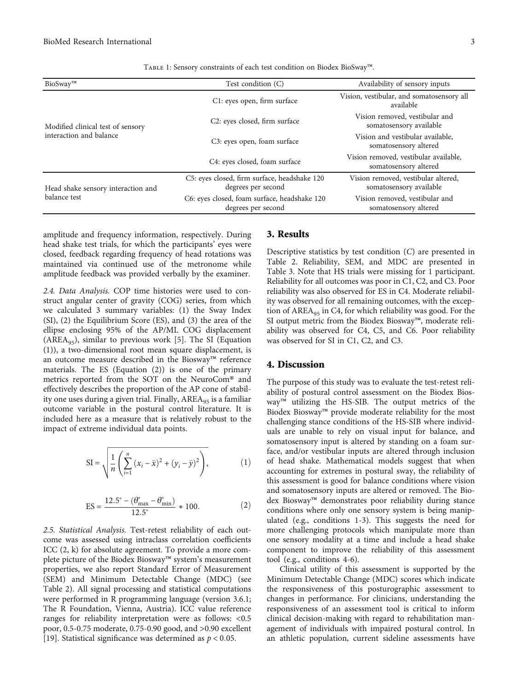| TABLE 1: Sensory constraints of each test condition on Biodex BioSway <sup>TM</sup> . |  |  |  |  |  |
|---------------------------------------------------------------------------------------|--|--|--|--|--|
|---------------------------------------------------------------------------------------|--|--|--|--|--|

<span id="page-4-0"></span>

| BioSway™                           | Test condition (C)                                                 | Availability of sensory inputs                                 |  |  |
|------------------------------------|--------------------------------------------------------------------|----------------------------------------------------------------|--|--|
|                                    | C1: eyes open, firm surface                                        | Vision, vestibular, and somatosensory all<br>available         |  |  |
| Modified clinical test of sensory  | C <sub>2</sub> : eyes closed, firm surface                         | Vision removed, vestibular and<br>somatosensory available      |  |  |
| interaction and balance            | C3: eyes open, foam surface                                        | Vision and vestibular available,<br>somatosensory altered      |  |  |
|                                    | C4: eyes closed, foam surface                                      | Vision removed, vestibular available,<br>somatosensory altered |  |  |
| Head shake sensory interaction and | C5: eyes closed, firm surface, headshake 120<br>degrees per second | Vision removed, vestibular altered,<br>somatosensory available |  |  |
| balance test                       | C6: eyes closed, foam surface, headshake 120<br>degrees per second | Vision removed, vestibular and<br>somatosensory altered        |  |  |

amplitude and frequency information, respectively. During head shake test trials, for which the participants' eyes were closed, feedback regarding frequency of head rotations was maintained via continued use of the metronome while amplitude feedback was provided verbally by the examiner.

2.4. Data Analysis. COP time histories were used to construct angular center of gravity (COG) series, from which we calculated 3 summary variables: (1) the Sway Index (SI), (2) the Equilibrium Score (ES), and (3) the area of the ellipse enclosing 95% of the AP/ML COG displacement (AREA<sub>95</sub>), similar to previous work [\[5\]](#page-6-0). The SI (Equation (1)), a two-dimensional root mean square displacement, is an outcome measure described in the Biosway™ reference materials. The ES (Equation (2)) is one of the primary metrics reported from the SOT on the NeuroCom® and effectively describes the proportion of the AP cone of stability one uses during a given trial. Finally, AREA<sub>95</sub> is a familiar outcome variable in the postural control literature. It is included here as a measure that is relatively robust to the impact of extreme individual data points.

SI = 
$$
\sqrt{\frac{1}{n} \left( \sum_{i=1}^{n} (x_i - \bar{x})^2 + (y_i - \bar{y})^2 \right)}
$$
, (1)

$$
ES = \frac{12.5^{\circ} - (\theta_{\text{max}}^{\circ} - \theta_{\text{min}}^{\circ})}{12.5^{\circ}} * 100.
$$
 (2)

2.5. Statistical Analysis. Test-retest reliability of each outcome was assessed using intraclass correlation coefficients ICC (2, k) for absolute agreement. To provide a more complete picture of the Biodex Biosway™ system's measurement properties, we also report Standard Error of Measurement (SEM) and Minimum Detectable Change (MDC) (see Table [2\)](#page-5-0). All signal processing and statistical computations were performed in R programming language (version 3.6.1; The R Foundation, Vienna, Austria). ICC value reference ranges for reliability interpretation were as follows: <0.5 poor, 0.5-0.75 moderate, 0.75-0.90 good, and >0.90 excellent [\[19](#page-7-0)]. Statistical significance was determined as *<sup>p</sup>* < 0*:*05.

### 3. Results

Descriptive statistics by test condition (*C*) are presented in Table [2](#page-5-0). Reliability, SEM, and MDC are presented in Table [3](#page-5-0). Note that HS trials were missing for 1 participant. Reliability for all outcomes was poor in C1, C2, and C3. Poor reliability was also observed for ES in C4. Moderate reliability was observed for all remaining outcomes, with the exception of  $AREA_{95}$  in C4, for which reliability was good. For the SI output metric from the Biodex Biosway™, moderate reliability was observed for C4, C5, and C6. Poor reliability was observed for SI in C1, C2, and C3.

## 4. Discussion

The purpose of this study was to evaluate the test-retest reliability of postural control assessment on the Biodex Biosway™ utilizing the HS-SIB. The output metrics of the Biodex Biosway™ provide moderate reliability for the most challenging stance conditions of the HS-SIB where individuals are unable to rely on visual input for balance, and somatosensory input is altered by standing on a foam surface, and/or vestibular inputs are altered through inclusion of head shake. Mathematical models suggest that when accounting for extremes in postural sway, the reliability of this assessment is good for balance conditions where vision and somatosensory inputs are altered or removed. The Biodex Biosway™ demonstrates poor reliability during stance conditions where only one sensory system is being manipulated (e.g., conditions 1-3). This suggests the need for more challenging protocols which manipulate more than one sensory modality at a time and include a head shake component to improve the reliability of this assessment tool (e.g., conditions 4-6).

Clinical utility of this assessment is supported by the Minimum Detectable Change (MDC) scores which indicate the responsiveness of this posturographic assessment to changes in performance. For clinicians, understanding the responsiveness of an assessment tool is critical to inform clinical decision-making with regard to rehabilitation management of individuals with impaired postural control. In an athletic population, current sideline assessments have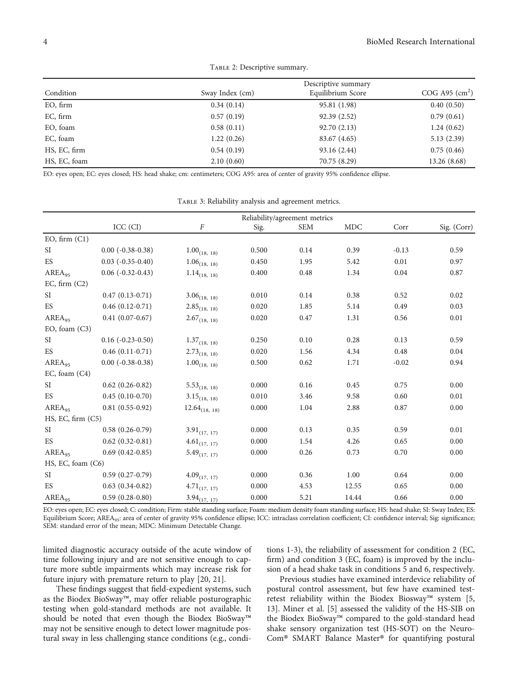<span id="page-5-0"></span>

| Condition    | Sway Index (cm) | Equilibrium Score | COG A95 $\text{(cm}^2\text{)}$ |
|--------------|-----------------|-------------------|--------------------------------|
| EO, firm     | 0.34(0.14)      | 95.81 (1.98)      | 0.40(0.50)                     |
| EC, firm     | 0.57(0.19)      | 92.39 (2.52)      | 0.79(0.61)                     |
| EO, foam     | 0.58(0.11)      | 92.70 (2.13)      | 1.24(0.62)                     |
| EC, foam     | 1.22(0.26)      | 83.67 (4.65)      | 5.13(2.39)                     |
| HS, EC, firm | 0.54(0.19)      | 93.16 (2.44)      | 0.75(0.46)                     |
| HS, EC, foam | 2.10(0.60)      | 70.75 (8.29)      | 13.26 (8.68)                   |

TABLE 2: Descriptive summary.

EO: eyes open; EC: eyes closed; HS: head shake; cm: centimeters; COG A95: area of center of gravity 95% confidence ellipse.

TABLE 3: Reliability analysis and agreement metrics.

|                    |                           | Reliability/agreement metrics |       |            |            |         |             |  |  |
|--------------------|---------------------------|-------------------------------|-------|------------|------------|---------|-------------|--|--|
|                    | ICC (CI)                  | F                             | Sig.  | <b>SEM</b> | <b>MDC</b> | Corr    | Sig. (Corr) |  |  |
| EO, firm (C1)      |                           |                               |       |            |            |         |             |  |  |
| SI.                | $0.00 (-0.38 - 0.38)$     | $1.00_{(18, 18)}$             | 0.500 | 0.14       | 0.39       | $-0.13$ | 0.59        |  |  |
| ES                 | $0.03$ $(-0.35-0.40)$     | $1.06_{(18, 18)}$             | 0.450 | 1.95       | 5.42       | 0.01    | 0.97        |  |  |
| AREA <sub>95</sub> | $0.06$ ( $-0.32 - 0.43$ ) | $1.14_{\tiny{(18,\ 18)}}$     | 0.400 | 0.48       | 1.34       | 0.04    | 0.87        |  |  |
| EC, firm $(C2)$    |                           |                               |       |            |            |         |             |  |  |
| SI                 | $0.47(0.13-0.71)$         | $3.06_{(18, 18)}$             | 0.010 | 0.14       | 0.38       | 0.52    | 0.02        |  |  |
| ES                 | $0.46(0.12-0.71)$         | $2.85_{(18, 18)}$             | 0.020 | 1.85       | 5.14       | 0.49    | 0.03        |  |  |
| AREA <sub>95</sub> | $0.41(0.07-0.67)$         | $2.67_{(18, 18)}$             | 0.020 | 0.47       | 1.31       | 0.56    | 0.01        |  |  |
| EO, foam (C3)      |                           |                               |       |            |            |         |             |  |  |
| SI.                | $0.16(-0.23-0.50)$        | $1.37_{(18, 18)}$             | 0.250 | 0.10       | 0.28       | 0.13    | 0.59        |  |  |
| ES                 | $0.46(0.11-0.71)$         | $2.73_{(18, 18)}$             | 0.020 | 1.56       | 4.34       | 0.48    | $0.04\,$    |  |  |
| AREA <sub>95</sub> | $0.00$ ( $-0.38 - 0.38$ ) | $1.00_{(18, 18)}$             | 0.500 | 0.62       | 1.71       | $-0.02$ | 0.94        |  |  |
| EC, foam (C4)      |                           |                               |       |            |            |         |             |  |  |
| SI.                | $0.62(0.26-0.82)$         | $5.53_{(18, 18)}$             | 0.000 | 0.16       | 0.45       | 0.75    | 0.00        |  |  |
| ES                 | $0.45(0.10-0.70)$         | $3.15_{(18, 18)}$             | 0.010 | 3.46       | 9.58       | 0.60    | 0.01        |  |  |
| AREA <sub>95</sub> | $0.81(0.55-0.92)$         | $12.64_{(18, 18)}$            | 0.000 | 1.04       | 2.88       | 0.87    | 0.00        |  |  |
| HS, EC, firm (C5)  |                           |                               |       |            |            |         |             |  |  |
| SI                 | $0.58(0.26-0.79)$         | $3.91_{(17, 17)}$             | 0.000 | 0.13       | 0.35       | 0.59    | 0.01        |  |  |
| ES                 | $0.62(0.32-0.81)$         | $4.61_{(17, 17)}$             | 0.000 | 1.54       | 4.26       | 0.65    | 0.00        |  |  |
| $AREA_{95}$        | $0.69(0.42-0.85)$         | $5.49_{(17, 17)}$             | 0.000 | 0.26       | 0.73       | 0.70    | $0.00\,$    |  |  |
| HS, EC, foam (C6)  |                           |                               |       |            |            |         |             |  |  |
| SI                 | $0.59(0.27-0.79)$         | $4.09_{(17, 17)}$             | 0.000 | 0.36       | 1.00       | 0.64    | 0.00        |  |  |
| ES                 | $0.63(0.34-0.82)$         | $4.71_{(17, 17)}$             | 0.000 | 4.53       | 12.55      | 0.65    | 0.00        |  |  |
| $AREA_{95}$        | $0.59(0.28-0.80)$         | $3.94_{(17,\_17)}$            | 0.000 | 5.21       | 14.44      | 0.66    | 0.00        |  |  |

EO: eyes open; EC: eyes closed; C: condition; Firm: stable standing surface; Foam: medium density foam standing surface; HS: head shake; SI: Sway Index; ES: Equilibrium Score; AREA<sub>95</sub>: area of center of gravity 95% confidence ellipse; ICC: intraclass correlation coefficient; CI: confidence interval; Sig: significance; SEM: standard error of the mean; MDC: Minimum Detectable Change.

limited diagnostic accuracy outside of the acute window of time following injury and are not sensitive enough to capture more subtle impairments which may increase risk for future injury with premature return to play [[20](#page-7-0), [21](#page-7-0)].

These findings suggest that field-expedient systems, such as the Biodex BioSway™, may offer reliable posturographic testing when gold-standard methods are not available. It should be noted that even though the Biodex BioSway™ may not be sensitive enough to detect lower magnitude postural sway in less challenging stance conditions (e.g., conditions 1-3), the reliability of assessment for condition 2 (EC, firm) and condition 3 (EC, foam) is improved by the inclusion of a head shake task in conditions 5 and 6, respectively.

Previous studies have examined interdevice reliability of postural control assessment, but few have examined testretest reliability within the Biodex Biosway™ system [[5,](#page-6-0) [13\]](#page-6-0). Miner et al. [\[5](#page-6-0)] assessed the validity of the HS-SIB on the Biodex BioSway™ compared to the gold-standard head shake sensory organization test (HS-SOT) on the Neuro-Com® SMART Balance Master® for quantifying postural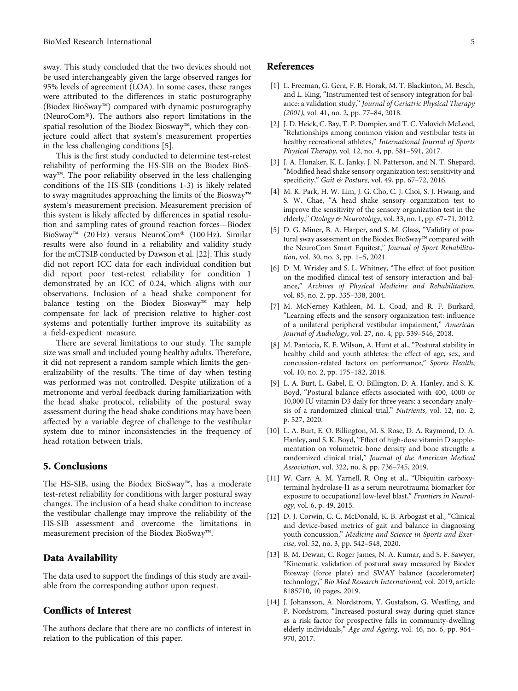<span id="page-6-0"></span>sway. This study concluded that the two devices should not be used interchangeably given the large observed ranges for 95% levels of agreement (LOA). In some cases, these ranges were attributed to the differences in static posturography (Biodex BioSway™) compared with dynamic posturography (NeuroCom®). The authors also report limitations in the spatial resolution of the Biodex Biosway™, which they conjecture could affect that system's measurement properties in the less challenging conditions [5].

This is the first study conducted to determine test-retest reliability of performing the HS-SIB on the Biodex BioSway™. The poor reliability observed in the less challenging conditions of the HS-SIB (conditions 1-3) is likely related to sway magnitudes approaching the limits of the Biosway™ system's measurement precision. Measurement precision of this system is likely affected by differences in spatial resolution and sampling rates of ground reaction forces—Biodex BioSway™ (20 Hz) versus NeuroCom® (100 Hz). Similar results were also found in a reliability and validity study for the mCTSIB conducted by Dawson et al. [\[22\]](#page-7-0). This study did not report ICC data for each individual condition but did report poor test-retest reliability for condition 1 demonstrated by an ICC of 0.24, which aligns with our observations. Inclusion of a head shake component for balance testing on the Biodex Biosway™ may help compensate for lack of precision relative to higher-cost systems and potentially further improve its suitability as a field-expedient measure.

There are several limitations to our study. The sample size was small and included young healthy adults. Therefore, it did not represent a random sample which limits the generalizability of the results. The time of day when testing was performed was not controlled. Despite utilization of a metronome and verbal feedback during familiarization with the head shake protocol, reliability of the postural sway assessment during the head shake conditions may have been affected by a variable degree of challenge to the vestibular system due to minor inconsistencies in the frequency of head rotation between trials.

### 5. Conclusions

The HS-SIB, using the Biodex BioSway™, has a moderate test-retest reliability for conditions with larger postural sway changes. The inclusion of a head shake condition to increase the vestibular challenge may improve the reliability of the HS-SIB assessment and overcome the limitations in measurement precision of the Biodex BioSway™.

## Data Availability

The data used to support the findings of this study are available from the corresponding author upon request.

### Conflicts of Interest

The authors declare that there are no conflicts of interest in relation to the publication of this paper.

#### References

- [1] L. Freeman, G. Gera, F. B. Horak, M. T. Blackinton, M. Besch, and L. King, "Instrumented test of sensory integration for balance: a validation study," Journal of Geriatric Physical Therapy (2001), vol. 41, no. 2, pp. 77–84, 2018.
- [2] J. D. Heick, C. Bay, T. P. Dompier, and T. C. Valovich McLeod, "Relationships among common vision and vestibular tests in healthy recreational athletes," International Journal of Sports Physical Therapy, vol. 12, no. 4, pp. 581–591, 2017.
- [3] J. A. Honaker, K. L. Janky, J. N. Patterson, and N. T. Shepard, "Modified head shake sensory organization test: sensitivity and specificity," Gait & Posture, vol. 49, pp. 67-72, 2016.
- [4] M. K. Park, H. W. Lim, J. G. Cho, C. J. Choi, S. J. Hwang, and S. W. Chae, "A head shake sensory organization test to improve the sensitivity of the sensory organization test in the elderly," Otology & Neurotology, vol. 33, no. 1, pp. 67–71, 2012.
- [5] D. G. Miner, B. A. Harper, and S. M. Glass, "Validity of postural sway assessment on the Biodex BioSway™ compared with the NeuroCom Smart Equitest," Journal of Sport Rehabilitation, vol. 30, no. 3, pp. 1–5, 2021.
- [6] D. M. Wrisley and S. L. Whitney, "The effect of foot position on the modified clinical test of sensory interaction and balance," Archives of Physical Medicine and Rehabilitation, vol. 85, no. 2, pp. 335–338, 2004.
- [7] M. McNerney Kathleen, M. L. Coad, and R. F. Burkard, "Learning effects and the sensory organization test: influence of a unilateral peripheral vestibular impairment," American Journal of Audiology, vol. 27, no. 4, pp. 539–546, 2018.
- [8] M. Paniccia, K. E. Wilson, A. Hunt et al., "Postural stability in healthy child and youth athletes: the effect of age, sex, and concussion-related factors on performance," Sports Health, vol. 10, no. 2, pp. 175–182, 2018.
- [9] L. A. Burt, L. Gabel, E. O. Billington, D. A. Hanley, and S. K. Boyd, "Postural balance effects associated with 400, 4000 or 10,000 IU vitamin D3 daily for three years: a secondary analysis of a randomized clinical trial," Nutrients, vol. 12, no. 2, p. 527, 2020.
- [10] L. A. Burt, E. O. Billington, M. S. Rose, D. A. Raymond, D. A. Hanley, and S. K. Boyd, "Effect of high-dose vitamin D supplementation on volumetric bone density and bone strength: a randomized clinical trial," Journal of the American Medical Association, vol. 322, no. 8, pp. 736–745, 2019.
- [11] W. Carr, A. M. Yarnell, R. Ong et al., "Ubiquitin carboxyterminal hydrolase-l1 as a serum neurotrauma biomarker for exposure to occupational low-level blast," Frontiers in Neurology, vol. 6, p. 49, 2015.
- [12] D. J. Corwin, C. C. McDonald, K. B. Arbogast et al., "Clinical and device-based metrics of gait and balance in diagnosing youth concussion," Medicine and Science in Sports and Exercise, vol. 52, no. 3, pp. 542–548, 2020.
- [13] B. M. Dewan, C. Roger James, N. A. Kumar, and S. F. Sawyer, "Kinematic validation of postural sway measured by Biodex Biosway (force plate) and SWAY balance (accelerometer) technology," Bio Med Research International, vol. 2019, article 8185710, 10 pages, 2019.
- [14] J. Johansson, A. Nordstrom, Y. Gustafson, G. Westling, and P. Nordstrom, "Increased postural sway during quiet stance as a risk factor for prospective falls in community-dwelling elderly individuals," Age and Ageing, vol. 46, no. 6, pp. 964– 970, 2017.